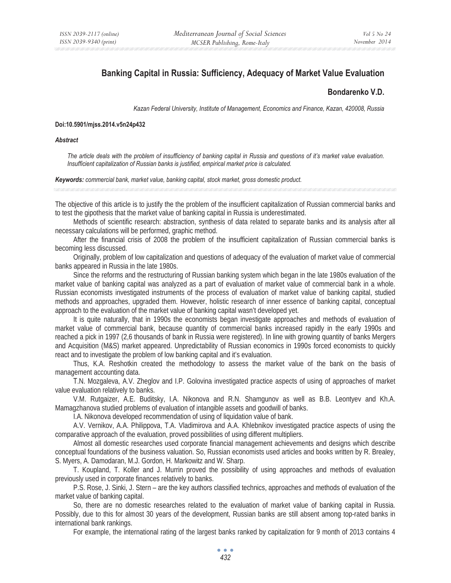# **Banking Capital in Russia: Sufficiency, Adequacy of Market Value Evaluation**

## **Bondarenko V.D.**

*Kazan Federal University, Institute of Management, Economics and Finance, Kazan, 420008, Russia* 

#### **Doi:10.5901/mjss.2014.v5n24p432**

#### *Abstract*

*The article deals with the problem of insufficiency of banking capital in Russia and questions of it's market value evaluation. Insufficient capitalization of Russian banks is justified, empirical market price is calculated.* 

#### *Keywords: commercial bank, market value, banking capital, stock market, gross domestic product.*

The objective of this article is to justify the the problem of the insufficient capitalization of Russian commercial banks and to test the gipothesis that the market value of banking capital in Russia is underestimated.

Methods of scientific research: abstraction, synthesis of data related to separate banks and its analysis after all necessary calculations will be performed, graphic method.

After the financial crisis of 2008 the problem of the insufficient capitalization of Russian commercial banks is becoming less discussed.

Originally, problem of low capitalization and questions of adequacy of the evaluation of market value of commercial banks appeared in Russia in the late 1980s.

Since the reforms and the restructuring of Russian banking system which began in the late 1980s evaluation of the market value of banking capital was analyzed as a part of evaluation of market value of commercial bank in a whole. Russian economists investigated instruments of the process of evaluation of market value of banking capital, studied methods and approaches, upgraded them. However, holistic research of inner essence of banking capital, conceptual approach to the evaluation of the market value of banking capital wasn't developed yet.

It is quite naturally, that in 1990s the economists began investigate approaches and methods of evaluation of market value of commercial bank, because quantity of commercial banks increased rapidly in the early 1990s and reached a pick in 1997 (2,6 thousands of bank in Russia were registered). In line with growing quantity of banks Mergers and Acquisition (M&S) market appeared. Unpredictability of Russian economics in 1990s forced economists to quickly react and to investigate the problem of low banking capital and it's evaluation.

Thus, K.A. Reshotkin created the methodology to assess the market value of the bank on the basis of management accounting data.

Ɍ.N. Mozgaleva, A.V. Zheglov and I.P. Golovina investigated practice aspects of using of approaches of market value evaluation relatively to banks.

V.M. Rutgaizer, A.E. Buditsky, I.A. Nikonova and R.N. Shamgunov as well as B.B. Leontyev and Kh.A. Mamagzhanova studied problems of evaluation of intangible assets and goodwill of banks.

I.A. Nikonova developed recommendation of using of liquidation value of bank.

A.V. Vernikov, A.A. Philippova, T.A. Vladimirova and A.A. Khlebnikov investigated practice aspects of using the comparative approach of the evaluation, proved possibilities of using different multipliers.

Almost all domestic researches used corporate financial management achievements and designs which describe conceptual foundations of the business valuation. So, Russian economists used articles and books written by R. Brealey, S. Myers, A. Damodaran, M.J. Gordon, H. Markowitz and W. Sharp.

T. Koupland, T. Koller and J. Murrin proved the possibility of using approaches and methods of evaluation previously used in corporate finances relatively to banks.

P.S. Rose, J. Sinki, J. Stern – are the key authors classified technics, approaches and methods of evaluation of the market value of banking capital.

So, there are no domestic researches related to the evaluation of market value of banking capital in Russia. Possibly, due to this for almost 30 years of the development, Russian banks are still absent among top-rated banks in international bank rankings.

For example, the international rating of the largest banks ranked by capitalization for 9 month of 2013 contains 4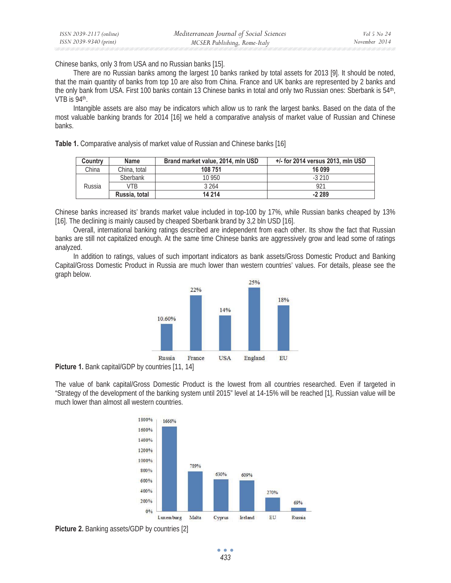Chinese banks, only 3 from USA and no Russian banks [15].

There are no Russian banks among the largest 10 banks ranked by total assets for 2013 [9]. It should be noted, that the main quantity of banks from top 10 are also from China. France and UK banks are represented by 2 banks and the only bank from USA. First 100 banks contain 13 Chinese banks in total and only two Russian ones: Sberbank is 54<sup>th</sup>, VTB is 94<sup>th</sup>.

Intangible assets are also may be indicators which allow us to rank the largest banks. Based on the data of the most valuable banking brands for 2014 [16] we held a comparative analysis of market value of Russian and Chinese banks.

**Table 1.** Comparative analysis of market value of Russian and Chinese banks [16]

| Country | Name            | Brand market value, 2014, mln USD | $+/-$ for 2014 versus 2013, mln USD |
|---------|-----------------|-----------------------------------|-------------------------------------|
| China   | China, total    | 108 751                           | 16 099                              |
| Russia  | <b>Sberbank</b> | 10 950                            | $-3,210$                            |
|         | VTR             | 3 2 6 4                           | 921                                 |
|         | Russia, total   | 14 214                            | $-2289$                             |

Chinese banks increased its' brands market value included in top-100 by 17%, while Russian banks cheaped by 13% [16]. The declining is mainly caused by cheaped Sberbank brand by 3,2 bln USD [16].

Overall, international banking ratings described are independent from each other. Its show the fact that Russian banks are still not capitalized enough. At the same time Chinese banks are aggressively grow and lead some of ratings analyzed.

In addition to ratings, values of such important indicators as bank assets/Gross Domestic Product and Banking Capital/Gross Domestic Product in Russia are much lower than western countries' values. For details, please see the graph below.



**Picture 1.** Bank capital/GDP by countries [11, 14]

The value of bank capital/Gross Domestic Product is the lowest from all countries researched. Even if targeted in "Strategy of the development of the banking system until 2015" level at 14-15% will be reached [1], Russian value will be much lower than almost all western countries.



**Picture 2.** Banking assets/GDP by countries [2]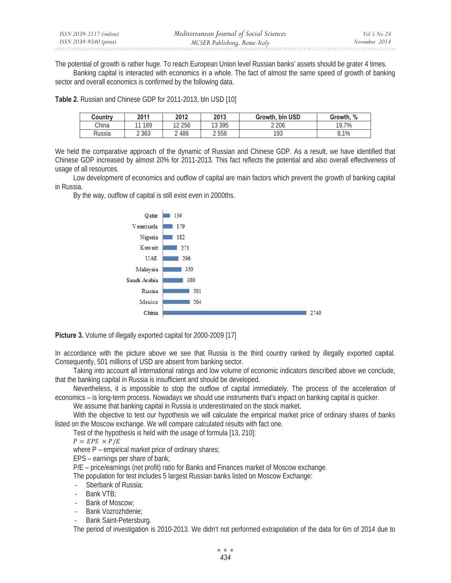The potential of growth is rather huge. To reach European Union level Russian banks' assets should be grater 4 times. Banking capital is interacted with economics in a whole. The fact of almost the same speed of growth of banking sector and overall economics is confirmed by the following data.

**Table 2.** Russian and Chinese GDP for 2011-2013, bln USD [10]

| Countrv | 2011      | 2012     | 2013     | bln USD<br>Growth. | %<br>Growth, |
|---------|-----------|----------|----------|--------------------|--------------|
| China   | 189<br>11 | 12 2 5 6 | 13 3 9 5 | 2 2 0 6            | 19.7%        |
| Russia  | 2 3 6 3   | 2486     | 2556     | 193                | 8.1%         |

We held the comparative approach of the dynamic of Russian and Chinese GDP. As a result, we have identified that Chinese GDP increased by almost 20% for 2011-2013. This fact reflects the potential and also overall effectiveness of usage of all resources.

Low development of economics and outflow of capital are main factors which prevent the growth of banking capital in Russia.

By the way, outflow of capital is still exist even in 2000ths.



**Picture 3.** Volume of illegally exported capital for 2000-2009 [17]

In accordance with the picture above we see that Russia is the third country ranked by illegally exported capital. Consequently, 501 millions of USD are absent from banking sector.

Taking into account all international ratings and low volume of economic indicators described above we conclude, that the banking capital in Russia is insufficient and should be developed.

Nevertheless, it is impossible to stop the outflow of capital immediately. The process of the acceleration of economics – is long-term process. Nowadays we should use instruments that's impact on banking capital is quicker.

We assume that banking capital in Russia is underestimated on the stock market.

With the objective to test our hypothesis we will calculate the empirical market price of ordinary shares of banks listed on the Moscow exchange. We will compare calculated results with fact one.

Test of the hypothesis is held with the usage of formula [13, 210]:

$$
P = EPS \times P/E
$$

where P – empirical market price of ordinary shares;

EPS – earnings per share of bank;

P/E – price/earnings (net profit) ratio for Banks and Finances market of Moscow exchange.

The population for test includes 5 largest Russian banks listed on Moscow Exchange:

- Sberbank of Russia:
- Bank VTB:
- Bank of Moscow;
- Bank Vozrozhdenie:
- Bank Saint-Petersburg.

The period of investigation is 2010-2013. We didn't not performed extrapolation of the data for 6m of 2014 due to

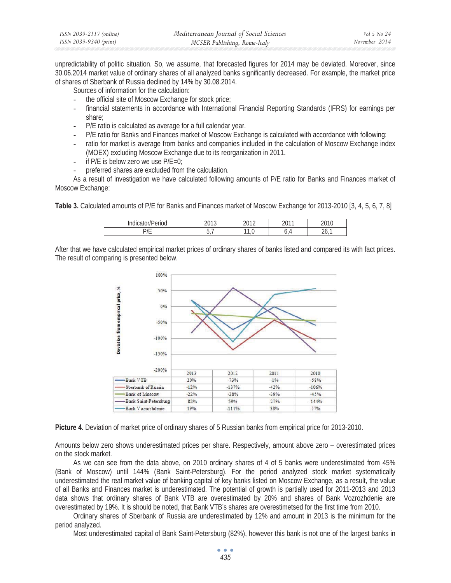| ISSN 2039-2117 (online) | Mediterranean Journal of Social Sciences | Vol 5 No 24   |
|-------------------------|------------------------------------------|---------------|
| ISSN 2039-9340 (print)  | MCSER Publishing, Rome-Italy             | November 2014 |

unpredictability of politic situation. So, we assume, that forecasted figures for 2014 may be deviated. Moreover, since 30.06.2014 market value of ordinary shares of all analyzed banks significantly decreased. For example, the market price of shares of Sberbank of Russia declined by 14% by 30.08.2014.

Sources of information for the calculation:

- the official site of Moscow Exchange for stock price;
- financial statements in accordance with International Financial Reporting Standards (IFRS) for earnings per share;
- P/E ratio is calculated as average for a full calendar year.
- P/E ratio for Banks and Finances market of Moscow Exchange is calculated with accordance with following:
- ratio for market is average from banks and companies included in the calculation of Moscow Exchange index (MOEX) excluding Moscow Exchange due to its reorganization in 2011.
- if  $P/E$  is below zero we use  $P/E=0$ ;
- preferred shares are excluded from the calculation.

As a result of investigation we have calculated following amounts of P/E ratio for Banks and Finances market of Moscow Exchange:

**Table 3.** Calculated amounts of P/E for Banks and Finances market of Moscow Exchange for 2013-2010 [3, 4, 5, 6, 7, 8]

| $\mathbf{u}$<br>$\overline{ }$<br>lou<br>н<br><br>$\ddotsc$ | 0.012<br>∠∪ | 0010                  | 0011<br>∼ |               |
|-------------------------------------------------------------|-------------|-----------------------|-----------|---------------|
| - --<br><u>_</u>                                            | ັ           | $\overline{A}$<br>ں ، | ↵<br>ັ    | ٠<br>∽<br>zv, |

After that we have calculated empirical market prices of ordinary shares of banks listed and compared its with fact prices. The result of comparing is presented below.



**Picture 4.** Deviation of market price of ordinary shares of 5 Russian banks from empirical price for 2013-2010.

Amounts below zero shows underestimated prices per share. Respectively, amount above zero – overestimated prices on the stock market.

As we can see from the data above, on 2010 ordinary shares of 4 of 5 banks were underestimated from 45% (Bank of Moscow) until 144% (Bank Saint-Petersburg). For the period analyzed stock market systematically underestimated the real market value of banking capital of key banks listed on Moscow Exchange, as a result, the value of all Banks and Finances market is underestimated. The potential of growth is partially used for 2011-2013 and 2013 data shows that ordinary shares of Bank VTB are overestimated by 20% and shares of Bank Vozrozhdenie are overestimated by 19%. It is should be noted, that Bank VTB's shares are overestimetsed for the first time from 2010.

Ordinary shares of Sberbank of Russia are underestimated by 12% and amount in 2013 is the minimum for the period analyzed.

Most underestimated capital of Bank Saint-Petersburg (82%), however this bank is not one of the largest banks in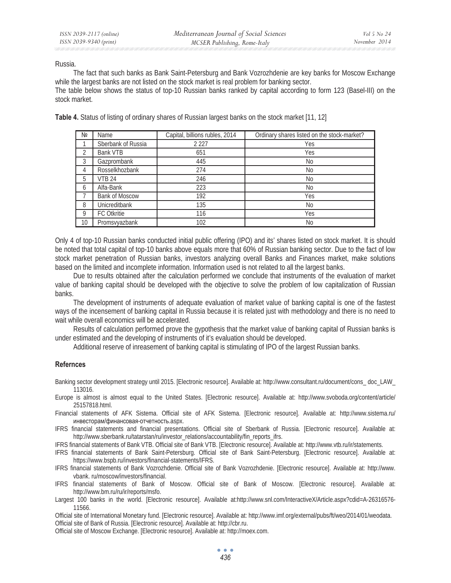Russia.

The fact that such banks as Bank Saint-Petersburg and Bank Vozrozhdenie are key banks for Moscow Exchange while the largest banks are not listed on the stock market is real problem for banking sector.

The table below shows the status of top-10 Russian banks ranked by capital according to form 123 (Basel-III) on the stock market.

**Table 4.** Status of listing of ordinary shares of Russian largest banks on the stock market [11, 12]

| Nº             | Name                  | Capital, billions rubles, 2014 | Ordinary shares listed on the stock-market? |
|----------------|-----------------------|--------------------------------|---------------------------------------------|
|                | Sberbank of Russia    | 2 2 2 7                        | Yes                                         |
| $\mathfrak{D}$ | <b>Bank VTB</b>       | 651                            | Yes                                         |
| 3              | Gazprombank           | 445                            | <b>No</b>                                   |
| 4              | Rosselkhozbank        | 274                            | <b>No</b>                                   |
| 5              | <b>VTB 24</b>         | 246                            | <b>No</b>                                   |
| 6              | Alfa-Bank             | 223                            | <b>No</b>                                   |
|                | <b>Bank of Moscow</b> | 192                            | Yes                                         |
| 8              | <b>Unicreditbank</b>  | 135                            | <b>No</b>                                   |
| 9              | <b>FC Otkritie</b>    | 116                            | Yes                                         |
| 10             | Promsvyazbank         | 102                            | <b>No</b>                                   |

Only 4 of top-10 Russian banks conducted initial public offering (IPO) and its' shares listed on stock market. It is should be noted that total capital of top-10 banks above equals more that 60% of Russian banking sector. Due to the fact of low stock market penetration of Russian banks, investors analyzing overall Banks and Finances market, make solutions based on the limited and incomplete information. Information used is not related to all the largest banks.

Due to results obtained after the calculation performed we conclude that instruments of the evaluation of market value of banking capital should be developed with the objective to solve the problem of low capitalization of Russian banks.

The development of instruments of adequate evaluation of market value of banking capital is one of the fastest ways of the incensement of banking capital in Russia because it is related just with methodology and there is no need to wait while overall economics will be accelerated.

Results of calculation performed prove the gypothesis that the market value of banking capital of Russian banks is under estimated and the developing of instruments of it's evaluation should be developed.

Additional reserve of inreasement of banking capital is stimulating of IPO of the largest Russian banks.

### **Refernces**

Banking sector development strategy until 2015. [Electronic resource]. Available at: http://www.consultant.ru/document/cons\_ doc\_LAW\_ 113016.

Europe is almost is almost equal to the United States. [Electronic resource]. Available at: http://www.svoboda.org/content/article/ 25157818.html.

Financial statements of AFK Sistema. Official site of AFK Sistema. [Electronic resource]. Available at: http://www.sistema.ru/ инвесторам/финансовая-отчетность.aspx.

IFRS financial statements and financial presentations. Official site of Sberbank of Russia. [Electronic resource]. Available at: http://www.sberbank.ru/tatarstan/ru/investor\_relations/accountability/fin\_reports\_ifrs.

IFRS financial statements of Bank VTB. Official site of Bank VTB. [Electronic resource]. Available at: http://www.vtb.ru/ir/statements.

IFRS financial statements of Bank Saint-Petersburg. Official site of Bank Saint-Petersburg. [Electronic resource]. Available at: https://www.bspb.ru/investors/financial-statements/IFRS.

IFRS financial statements of Bank Vozrozhdenie. Official site of Bank Vozrozhdenie. [Electronic resource]. Available at: http://www. vbank. ru/moscow/investors/financial.

- IFRS financial statements of Bank of Moscow. Official site of Bank of Moscow. [Electronic resource]. Available at: http://www.bm.ru/ru/ir/reports/msfo.
- Largest 100 banks in the world. [Electronic resource]. Available at:http://www.snl.com/InteractiveX/Article.aspx?cdid=A-26316576- 11566.

Official site of International Monetary fund. [Electronic resource]. Available at: http://www.imf.org/external/pubs/ft/weo/2014/01/weodata. Official site of Bank of Russia. [Electronic resource]. Available at: http://cbr.ru.

Official site of Moscow Exchange. [Electronic resource]. Available at: http://moex.com.